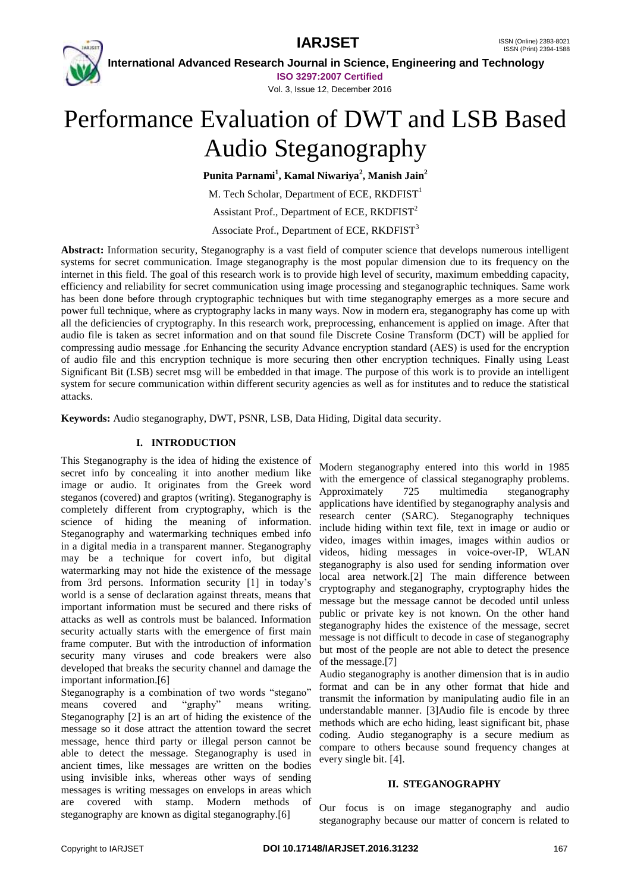# **IARJSET** ISSN (Online) 2393-8021



 **International Advanced Research Journal in Science, Engineering and Technology ISO 3297:2007 Certified**

Vol. 3, Issue 12, December 2016

# Performance Evaluation of DWT and LSB Based Audio Steganography

**Punita Parnami<sup>1</sup> , Kamal Niwariya<sup>2</sup> , Manish Jain<sup>2</sup>**

M. Tech Scholar, Department of ECE,  $RKDFIST<sup>1</sup>$ 

Assistant Prof., Department of ECE, RKDFIST<sup>2</sup>

Associate Prof., Department of ECE, RKDFIST<sup>3</sup>

**Abstract:** Information security, Steganography is a vast field of computer science that develops numerous intelligent systems for secret communication. Image steganography is the most popular dimension due to its frequency on the internet in this field. The goal of this research work is to provide high level of security, maximum embedding capacity, efficiency and reliability for secret communication using image processing and steganographic techniques. Same work has been done before through cryptographic techniques but with time steganography emerges as a more secure and power full technique, where as cryptography lacks in many ways. Now in modern era, steganography has come up with all the deficiencies of cryptography. In this research work, preprocessing, enhancement is applied on image. After that audio file is taken as secret information and on that sound file Discrete Cosine Transform (DCT) will be applied for compressing audio message .for Enhancing the security Advance encryption standard (AES) is used for the encryption of audio file and this encryption technique is more securing then other encryption techniques. Finally using Least Significant Bit (LSB) secret msg will be embedded in that image. The purpose of this work is to provide an intelligent system for secure communication within different security agencies as well as for institutes and to reduce the statistical attacks.

**Keywords:** Audio steganography, DWT, PSNR, LSB, Data Hiding, Digital data security.

### **I. INTRODUCTION**

This Steganography is the idea of hiding the existence of secret info by concealing it into another medium like image or audio. It originates from the Greek word steganos (covered) and graptos (writing). Steganography is completely different from cryptography, which is the science of hiding the meaning of information. Steganography and watermarking techniques embed info in a digital media in a transparent manner. Steganography may be a technique for covert info, but digital watermarking may not hide the existence of the message from 3rd persons. Information security [1] in today"s world is a sense of declaration against threats, means that important information must be secured and there risks of attacks as well as controls must be balanced. Information security actually starts with the emergence of first main frame computer. But with the introduction of information security many viruses and code breakers were also developed that breaks the security channel and damage the important information.[6]

Steganography is a combination of two words "stegano" means covered and "graphy" means writing. Steganography [2] is an art of hiding the existence of the message so it dose attract the attention toward the secret message, hence third party or illegal person cannot be able to detect the message. Steganography is used in ancient times, like messages are written on the bodies using invisible inks, whereas other ways of sending messages is writing messages on envelops in areas which are covered with stamp. Modern methods of steganography are known as digital steganography.[6]

Modern steganography entered into this world in 1985 with the emergence of classical steganography problems. Approximately 725 multimedia steganography applications have identified by steganography analysis and research center (SARC). Steganography techniques include hiding within text file, text in image or audio or video, images within images, images within audios or videos, hiding messages in voice-over-IP, WLAN steganography is also used for sending information over local area network.[2] The main difference between cryptography and steganography, cryptography hides the message but the message cannot be decoded until unless public or private key is not known. On the other hand steganography hides the existence of the message, secret message is not difficult to decode in case of steganography but most of the people are not able to detect the presence of the message.[7]

Audio steganography is another dimension that is in audio format and can be in any other format that hide and transmit the information by manipulating audio file in an understandable manner. [3]Audio file is encode by three methods which are echo hiding, least significant bit, phase coding. Audio steganography is a secure medium as compare to others because sound frequency changes at every single bit. [4].

#### **II. STEGANOGRAPHY**

Our focus is on image steganography and audio steganography because our matter of concern is related to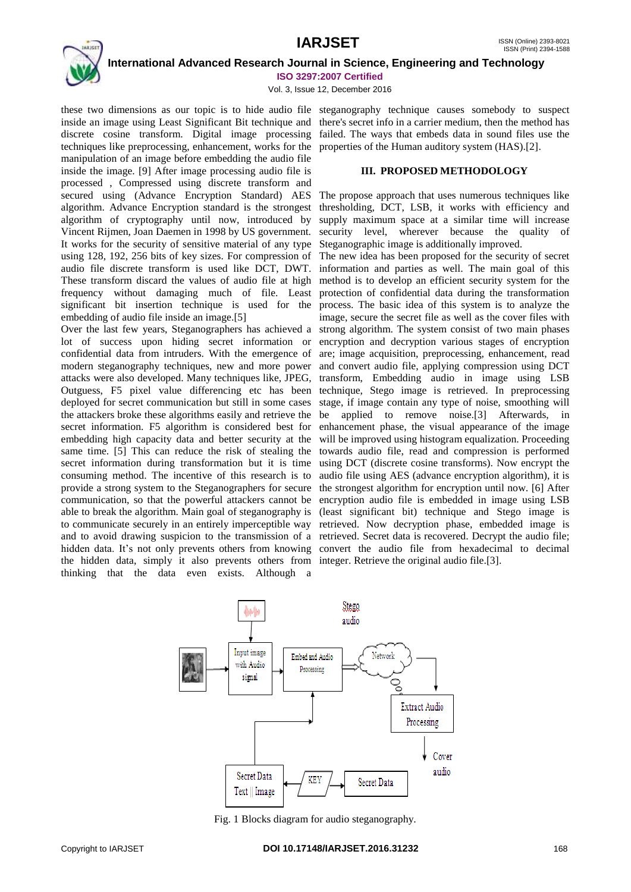

 **International Advanced Research Journal in Science, Engineering and Technology ISO 3297:2007 Certified**

Vol. 3, Issue 12, December 2016

inside an image using Least Significant Bit technique and there's secret info in a carrier medium, then the method has discrete cosine transform. Digital image processing failed. The ways that embeds data in sound files use the techniques like preprocessing, enhancement, works for the properties of the Human auditory system (HAS).[2]. manipulation of an image before embedding the audio file inside the image. [9] After image processing audio file is processed , Compressed using discrete transform and secured using (Advance Encryption Standard) AES algorithm. Advance Encryption standard is the strongest algorithm of cryptography until now, introduced by Vincent Rijmen, Joan Daemen in 1998 by US government. It works for the security of sensitive material of any type using 128, 192, 256 bits of key sizes. For compression of audio file discrete transform is used like DCT, DWT. These transform discard the values of audio file at high frequency without damaging much of file. Least significant bit insertion technique is used for the process. The basic idea of this system is to analyze the embedding of audio file inside an image.[5]

Over the last few years, Steganographers has achieved a lot of success upon hiding secret information or confidential data from intruders. With the emergence of are; image acquisition, preprocessing, enhancement, read modern steganography techniques, new and more power attacks were also developed. Many techniques like, JPEG, Outguess, F5 pixel value differencing etc has been technique, Stego image is retrieved. In preprocessing deployed for secret communication but still in some cases the attackers broke these algorithms easily and retrieve the secret information. F5 algorithm is considered best for embedding high capacity data and better security at the same time. [5] This can reduce the risk of stealing the secret information during transformation but it is time consuming method. The incentive of this research is to provide a strong system to the Steganographers for secure the strongest algorithm for encryption until now. [6] After communication, so that the powerful attackers cannot be encryption audio file is embedded in image using LSB able to break the algorithm. Main goal of steganography is (least significant bit) technique and Stego image is to communicate securely in an entirely imperceptible way retrieved. Now decryption phase, embedded image is and to avoid drawing suspicion to the transmission of a retrieved. Secret data is recovered. Decrypt the audio file; hidden data. It's not only prevents others from knowing convert the audio file from hexadecimal to decimal the hidden data, simply it also prevents others from integer. Retrieve the original audio file.[3]. thinking that the data even exists. Although a

these two dimensions as our topic is to hide audio file steganography technique causes somebody to suspect

#### **III. PROPOSED METHODOLOGY**

The propose approach that uses numerous techniques like thresholding, DCT, LSB, it works with efficiency and supply maximum space at a similar time will increase security level, wherever because the quality of Steganographic image is additionally improved.

The new idea has been proposed for the security of secret information and parties as well. The main goal of this method is to develop an efficient security system for the protection of confidential data during the transformation image, secure the secret file as well as the cover files with strong algorithm. The system consist of two main phases encryption and decryption various stages of encryption and convert audio file, applying compression using DCT transform, Embedding audio in image using LSB stage, if image contain any type of noise, smoothing will be applied to remove noise.[3] Afterwards, in enhancement phase, the visual appearance of the image will be improved using histogram equalization. Proceeding towards audio file, read and compression is performed using DCT (discrete cosine transforms). Now encrypt the audio file using AES (advance encryption algorithm), it is



Fig. 1 Blocks diagram for audio steganography.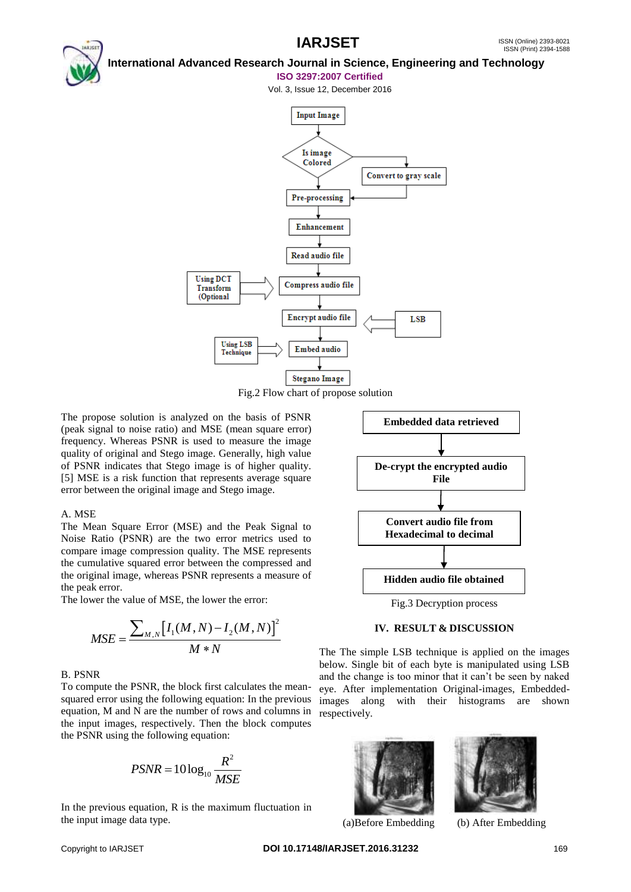## **International Advanced Research Journal in Science, Engineering and Technology**

#### **ISO 3297:2007 Certified**

Vol. 3, Issue 12, December 2016



Fig.2 Flow chart of propose solution

The propose solution is analyzed on the basis of PSNR (peak signal to noise ratio) and MSE (mean square error) frequency. Whereas PSNR is used to measure the image quality of original and Stego image. Generally, high value of PSNR indicates that Stego image is of higher quality. [5] MSE is a risk function that represents average square error between the original image and Stego image.

### A. MSE

The Mean Square Error (MSE) and the Peak Signal to Noise Ratio (PSNR) are the two error metrics used to compare image compression quality. The MSE represents the cumulative squared error between the compressed and the original image, whereas PSNR represents a measure of the peak error.

The lower the value of MSE, the lower the error:

$$
MSE = \frac{\sum_{M,N} [I_1(M,N) - I_2(M,N)]^2}{M*N}
$$

### B. PSNR

To compute the PSNR, the block first calculates the meansquared error using the following equation: In the previous equation, M and N are the number of rows and columns in the input images, respectively. Then the block computes the PSNR using the following equation:

$$
PSNR = 10\log_{10}\frac{R^2}{MSE}
$$

In the previous equation, R is the maximum fluctuation in the input image data type.



### **IV. RESULT & DISCUSSION**

The The simple LSB technique is applied on the images below. Single bit of each byte is manipulated using LSB and the change is too minor that it can"t be seen by naked eye. After implementation Original-images, Embeddedimages along with their histograms are shown respectively.



(a)Before Embedding (b) After Embedding